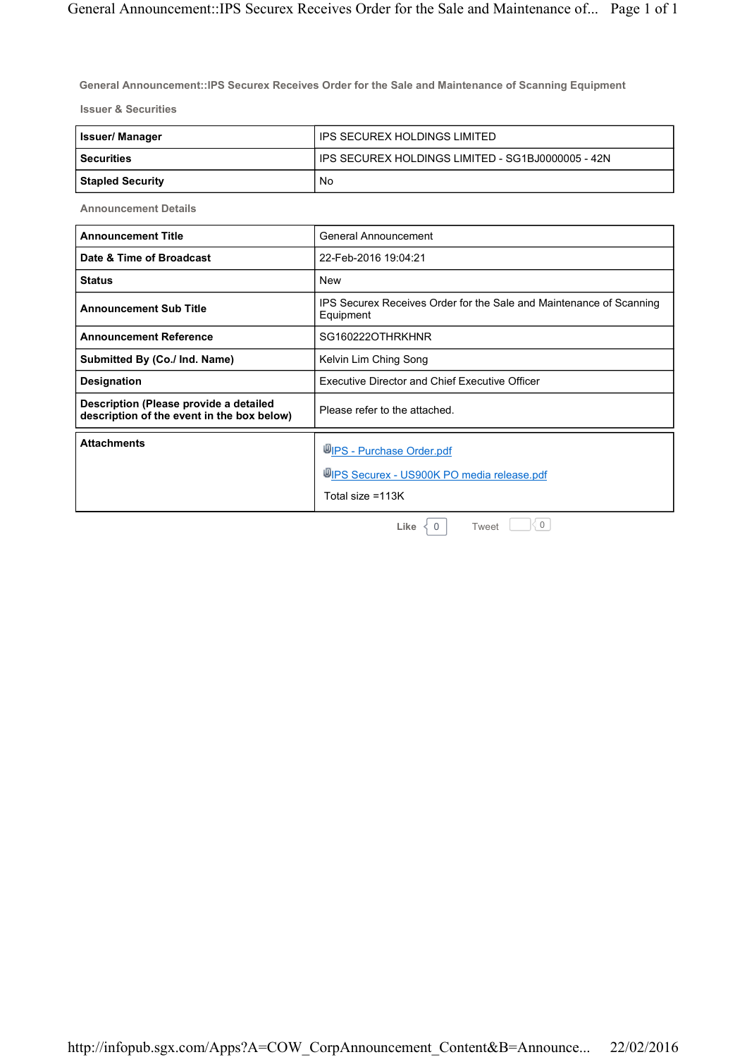**General Announcement::IPS Securex Receives Order for the Sale and Maintenance of Scanning Equipment**

**Issuer & Securities**

| Issuer/ Manager  | IPS SECUREX HOLDINGS LIMITED                        |
|------------------|-----------------------------------------------------|
| l Securities     | I IPS SECUREX HOLDINGS LIMITED - SG1BJ0000005 - 42N |
| Stapled Security | No                                                  |

**Announcement Details**

| <b>Announcement Title</b>                                                            | General Announcement                                                                          |
|--------------------------------------------------------------------------------------|-----------------------------------------------------------------------------------------------|
| Date & Time of Broadcast                                                             | 22-Feb-2016 19:04:21                                                                          |
| <b>Status</b>                                                                        | <b>New</b>                                                                                    |
| <b>Announcement Sub Title</b>                                                        | IPS Securex Receives Order for the Sale and Maintenance of Scanning<br>Equipment              |
| <b>Announcement Reference</b>                                                        | SG160222OTHRKHNR                                                                              |
| Submitted By (Co./ Ind. Name)                                                        | Kelvin Lim Ching Song                                                                         |
| Designation                                                                          | <b>Executive Director and Chief Executive Officer</b>                                         |
| Description (Please provide a detailed<br>description of the event in the box below) | Please refer to the attached.                                                                 |
| <b>Attachments</b>                                                                   | WIPS - Purchase Order.pdf<br>WIPS Securex - US900K PO media release.pdf<br>Total size $=113K$ |
|                                                                                      |                                                                                               |

**Like**  $\begin{array}{c} |0| & \text{Two} \\ |0| & \text{Two} \end{array}$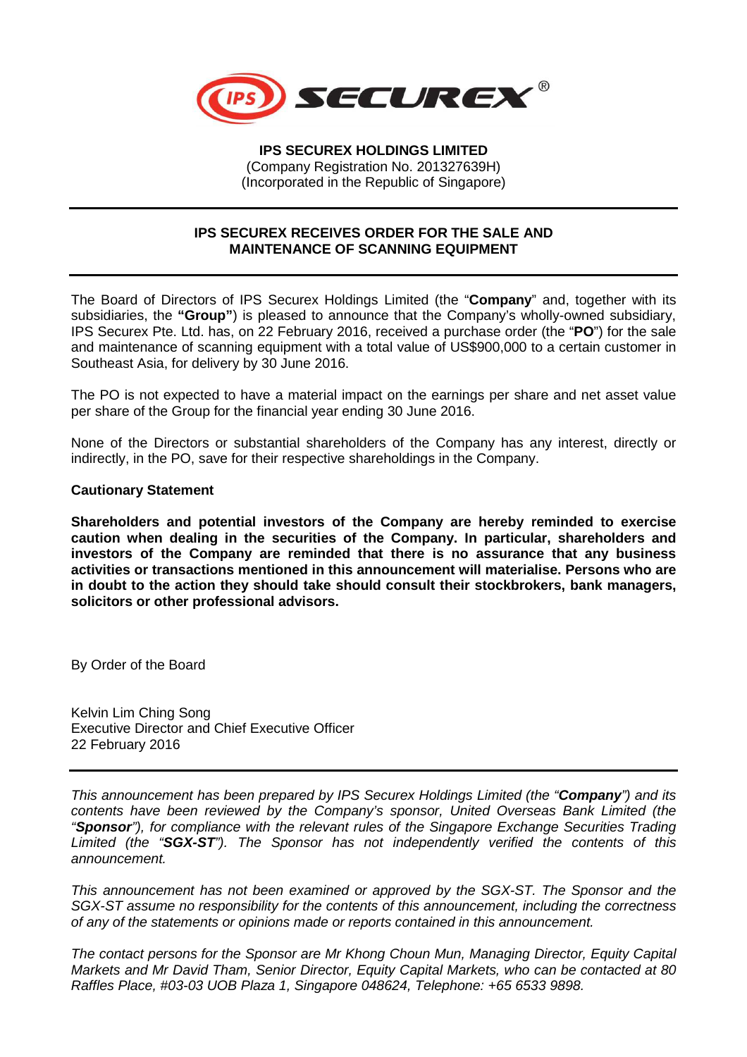

**IPS SECUREX HOLDINGS LIMITED**  (Company Registration No. 201327639H) (Incorporated in the Republic of Singapore)

## **IPS SECUREX RECEIVES ORDER FOR THE SALE AND MAINTENANCE OF SCANNING EQUIPMENT**

The Board of Directors of IPS Securex Holdings Limited (the "**Company**" and, together with its subsidiaries, the **"Group"**) is pleased to announce that the Company's wholly-owned subsidiary, IPS Securex Pte. Ltd. has, on 22 February 2016, received a purchase order (the "**PO**") for the sale and maintenance of scanning equipment with a total value of US\$900,000 to a certain customer in Southeast Asia, for delivery by 30 June 2016.

The PO is not expected to have a material impact on the earnings per share and net asset value per share of the Group for the financial year ending 30 June 2016.

None of the Directors or substantial shareholders of the Company has any interest, directly or indirectly, in the PO, save for their respective shareholdings in the Company.

## **Cautionary Statement**

**Shareholders and potential investors of the Company are hereby reminded to exercise caution when dealing in the securities of the Company. In particular, shareholders and investors of the Company are reminded that there is no assurance that any business activities or transactions mentioned in this announcement will materialise. Persons who are in doubt to the action they should take should consult their stockbrokers, bank managers, solicitors or other professional advisors.** 

By Order of the Board

Kelvin Lim Ching Song Executive Director and Chief Executive Officer 22 February 2016

This announcement has been prepared by IPS Securex Holdings Limited (the "**Company**") and its contents have been reviewed by the Company's sponsor, United Overseas Bank Limited (the "**Sponsor**"), for compliance with the relevant rules of the Singapore Exchange Securities Trading Limited (the "**SGX-ST**"). The Sponsor has not independently verified the contents of this announcement.

This announcement has not been examined or approved by the SGX-ST. The Sponsor and the SGX-ST assume no responsibility for the contents of this announcement, including the correctness of any of the statements or opinions made or reports contained in this announcement.

The contact persons for the Sponsor are Mr Khong Choun Mun, Managing Director, Equity Capital Markets and Mr David Tham, Senior Director, Equity Capital Markets, who can be contacted at 80 Raffles Place, #03-03 UOB Plaza 1, Singapore 048624, Telephone: +65 6533 9898.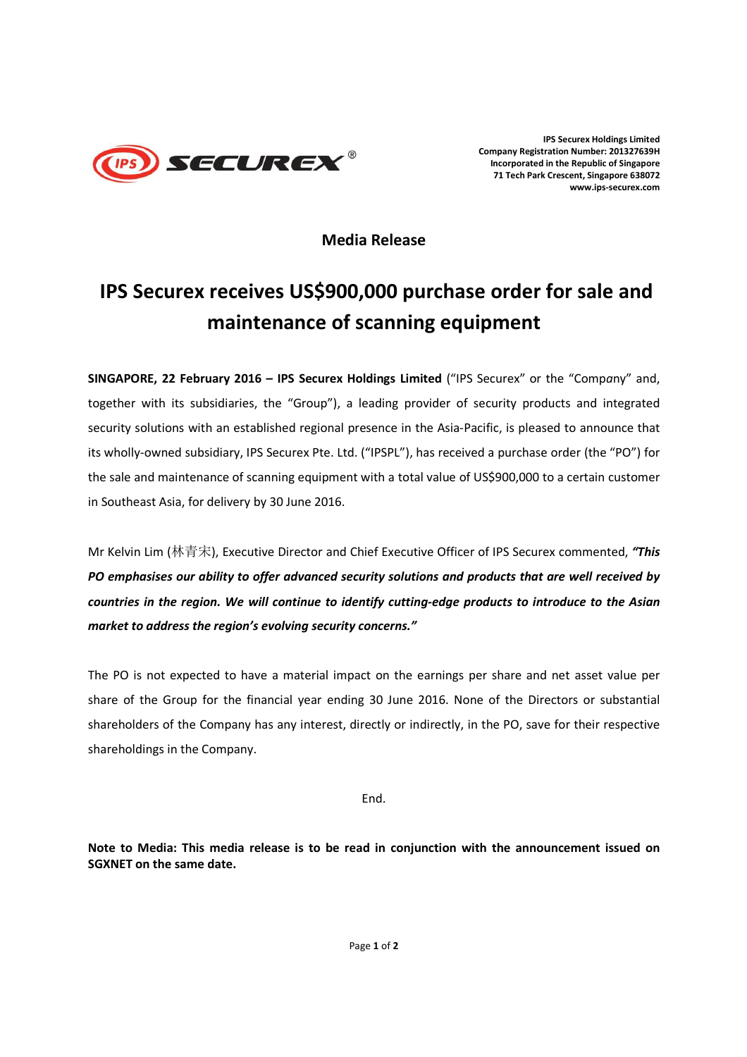

**IPS Securex Holdings Limited Company Registration Number: 201327639H Incorporated in the Republic of Singapore 71 Tech Park Crescent, Singapore 638072 www.ips-securex.com**

**Media Release** 

## **IPS Securex receives US\$900,000 purchase order for sale and maintenance of scanning equipment**

**SINGAPORE, 22 February 2016 – IPS Securex Holdings Limited** ("IPS Securex" or the "Comp*a*ny" and, together with its subsidiaries, the "Group"), a leading provider of security products and integrated security solutions with an established regional presence in the Asia-Pacific, is pleased to announce that its wholly-owned subsidiary, IPS Securex Pte. Ltd. ("IPSPL"), has received a purchase order (the "PO") for the sale and maintenance of scanning equipment with a total value of US\$900,000 to a certain customer in Southeast Asia, for delivery by 30 June 2016.

Mr Kelvin Lim (林青宋), Executive Director and Chief Executive Officer of IPS Securex commented, *"This PO emphasises our ability to offer advanced security solutions and products that are well received by countries in the region. We will continue to identify cutting-edge products to introduce to the Asian market to address the region's evolving security concerns."* 

The PO is not expected to have a material impact on the earnings per share and net asset value per share of the Group for the financial year ending 30 June 2016. None of the Directors or substantial shareholders of the Company has any interest, directly or indirectly, in the PO, save for their respective shareholdings in the Company.

End.

**Note to Media: This media release is to be read in conjunction with the announcement issued on SGXNET on the same date.**